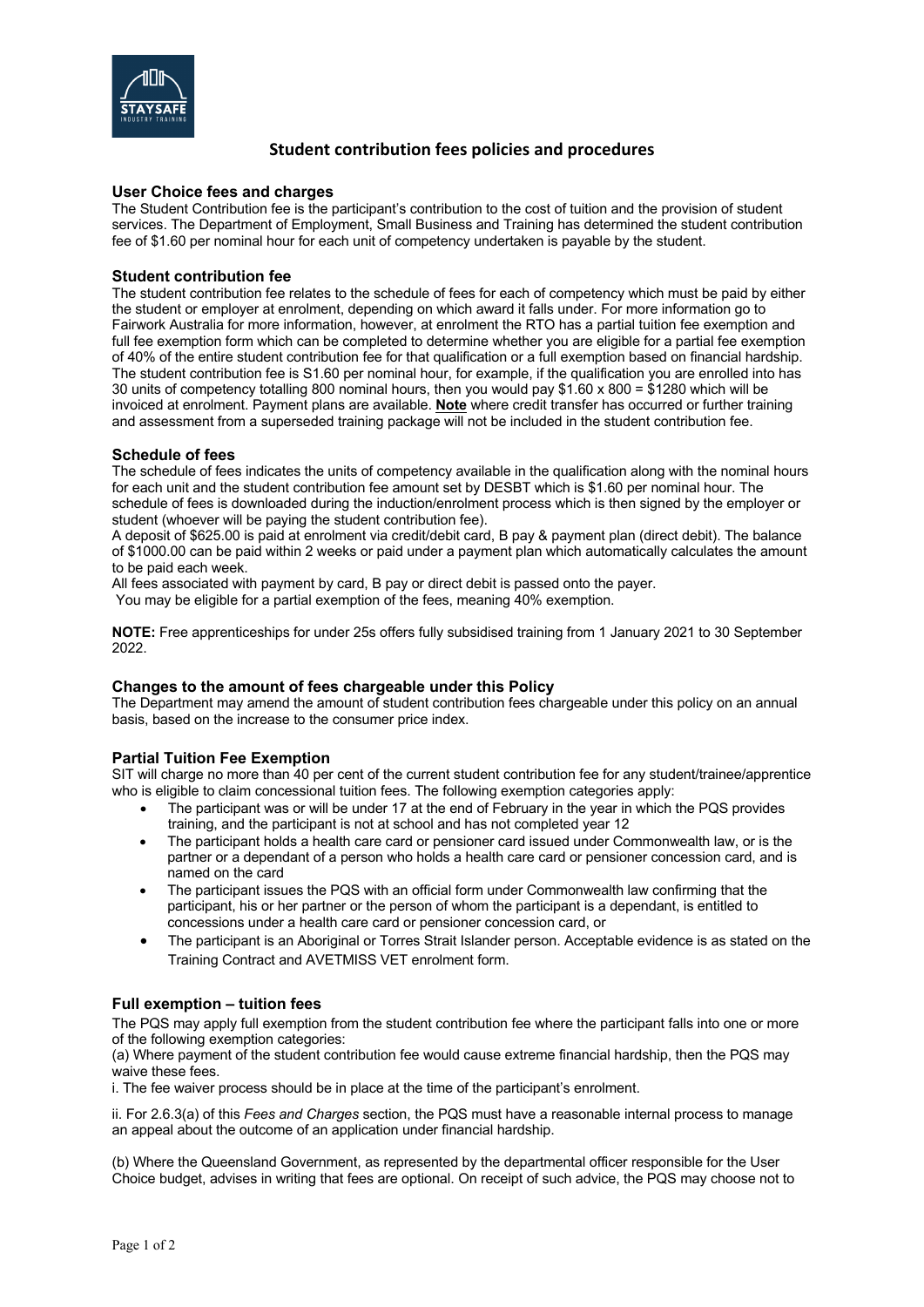

# **Student contribution fees policies and procedures**

#### **User Choice fees and charges**

The Student Contribution fee is the participant's contribution to the cost of tuition and the provision of student services. The Department of Employment, Small Business and Training has determined the student contribution fee of \$1.60 per nominal hour for each unit of competency undertaken is payable by the student.

#### **Student contribution fee**

The student contribution fee relates to the schedule of fees for each of competency which must be paid by either the student or employer at enrolment, depending on which award it falls under. For more information go to Fairwork Australia for more information, however, at enrolment the RTO has a partial tuition fee exemption and full fee exemption form which can be completed to determine whether you are eligible for a partial fee exemption of 40% of the entire student contribution fee for that qualification or a full exemption based on financial hardship. The student contribution fee is S1.60 per nominal hour, for example, if the qualification you are enrolled into has 30 units of competency totalling 800 nominal hours, then you would pay \$1.60 x 800 = \$1280 which will be invoiced at enrolment. Payment plans are available. **Note** where credit transfer has occurred or further training and assessment from a superseded training package will not be included in the student contribution fee.

#### **Schedule of fees**

The schedule of fees indicates the units of competency available in the qualification along with the nominal hours for each unit and the student contribution fee amount set by DESBT which is \$1.60 per nominal hour. The schedule of fees is downloaded during the induction/enrolment process which is then signed by the employer or student (whoever will be paying the student contribution fee).

A deposit of \$625.00 is paid at enrolment via credit/debit card, B pay & payment plan (direct debit). The balance of \$1000.00 can be paid within 2 weeks or paid under a payment plan which automatically calculates the amount to be paid each week.

All fees associated with payment by card, B pay or direct debit is passed onto the payer.

You may be eligible for a partial exemption of the fees, meaning 40% exemption.

**NOTE:** Free apprenticeships for under 25s offers fully subsidised training from 1 January 2021 to 30 September 2022.

# **Changes to the amount of fees chargeable under this Policy**

The Department may amend the amount of student contribution fees chargeable under this policy on an annual basis, based on the increase to the consumer price index.

# **Partial Tuition Fee Exemption**

SIT will charge no more than 40 per cent of the current student contribution fee for any student/trainee/apprentice who is eligible to claim concessional tuition fees. The following exemption categories apply:

- The participant was or will be under 17 at the end of February in the year in which the PQS provides training, and the participant is not at school and has not completed year 12
- The participant holds a health care card or pensioner card issued under Commonwealth law, or is the partner or a dependant of a person who holds a health care card or pensioner concession card, and is named on the card
- The participant issues the PQS with an official form under Commonwealth law confirming that the participant, his or her partner or the person of whom the participant is a dependant, is entitled to concessions under a health care card or pensioner concession card, or
- The participant is an Aboriginal or Torres Strait Islander person. Acceptable evidence is as stated on the Training Contract and AVETMISS VET enrolment form.

# **Full exemption – tuition fees**

The PQS may apply full exemption from the student contribution fee where the participant falls into one or more of the following exemption categories:

(a) Where payment of the student contribution fee would cause extreme financial hardship, then the PQS may waive these fees.

i. The fee waiver process should be in place at the time of the participant's enrolment.

ii. For 2.6.3(a) of this *Fees and Charges* section, the PQS must have a reasonable internal process to manage an appeal about the outcome of an application under financial hardship.

(b) Where the Queensland Government, as represented by the departmental officer responsible for the User Choice budget, advises in writing that fees are optional. On receipt of such advice, the PQS may choose not to